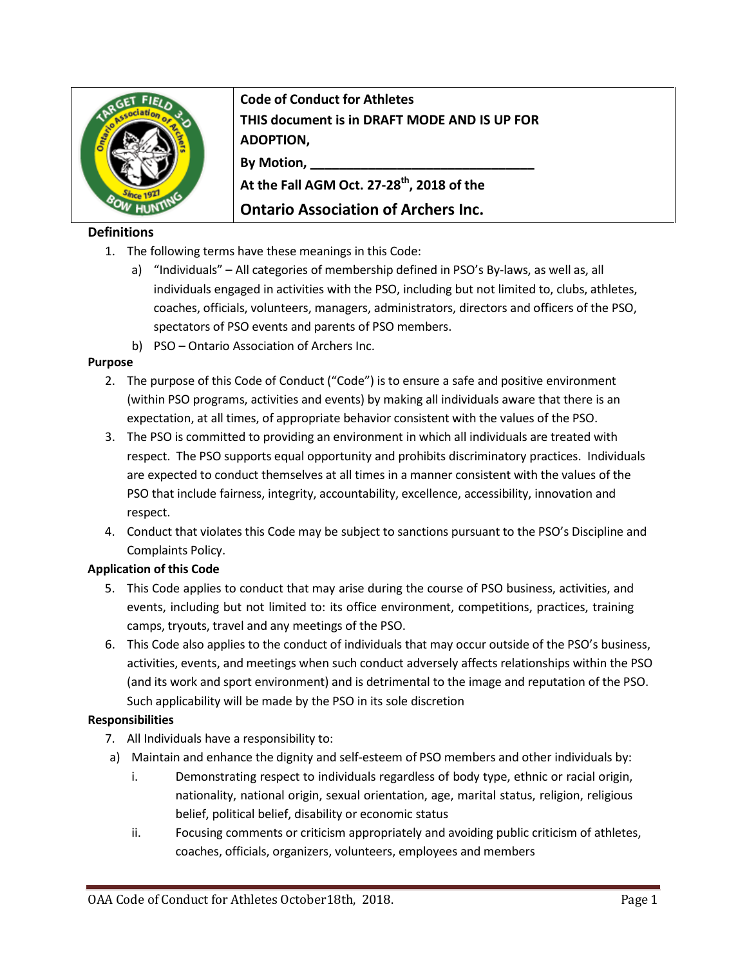

**Code of Conduct for Athletes THIS document is in DRAFT MODE AND IS UP FOR ADOPTION, By Motion, \_\_\_\_\_\_\_\_\_\_\_\_\_\_\_\_\_\_\_\_\_\_\_\_\_\_\_\_\_\_\_** At the Fall AGM Oct. 27-28<sup>th</sup>, 2018 of the

# **Ontario Association of Archers Inc.**

## **Definitions**

- 1. The following terms have these meanings in this Code:
	- a) "Individuals" All categories of membership defined in PSO's By-laws, as well as, all individuals engaged in activities with the PSO, including but not limited to, clubs, athletes, coaches, officials, volunteers, managers, administrators, directors and officers of the PSO, spectators of PSO events and parents of PSO members.
	- b) PSO Ontario Association of Archers Inc.

#### **Purpose**

- 2. The purpose of this Code of Conduct ("Code") is to ensure a safe and positive environment (within PSO programs, activities and events) by making all individuals aware that there is an expectation, at all times, of appropriate behavior consistent with the values of the PSO.
- 3. The PSO is committed to providing an environment in which all individuals are treated with respect. The PSO supports equal opportunity and prohibits discriminatory practices. Individuals are expected to conduct themselves at all times in a manner consistent with the values of the PSO that include fairness, integrity, accountability, excellence, accessibility, innovation and respect.
- 4. Conduct that violates this Code may be subject to sanctions pursuant to the PSO's Discipline and Complaints Policy.

### **Application of this Code**

- 5. This Code applies to conduct that may arise during the course of PSO business, activities, and events, including but not limited to: its office environment, competitions, practices, training camps, tryouts, travel and any meetings of the PSO.
- 6. This Code also applies to the conduct of individuals that may occur outside of the PSO's business, activities, events, and meetings when such conduct adversely affects relationships within the PSO (and its work and sport environment) and is detrimental to the image and reputation of the PSO. Such applicability will be made by the PSO in its sole discretion

### **Responsibilities**

- 7. All Individuals have a responsibility to:
- a) Maintain and enhance the dignity and self-esteem of PSO members and other individuals by:
	- i. Demonstrating respect to individuals regardless of body type, ethnic or racial origin, nationality, national origin, sexual orientation, age, marital status, religion, religious belief, political belief, disability or economic status
	- ii. Focusing comments or criticism appropriately and avoiding public criticism of athletes, coaches, officials, organizers, volunteers, employees and members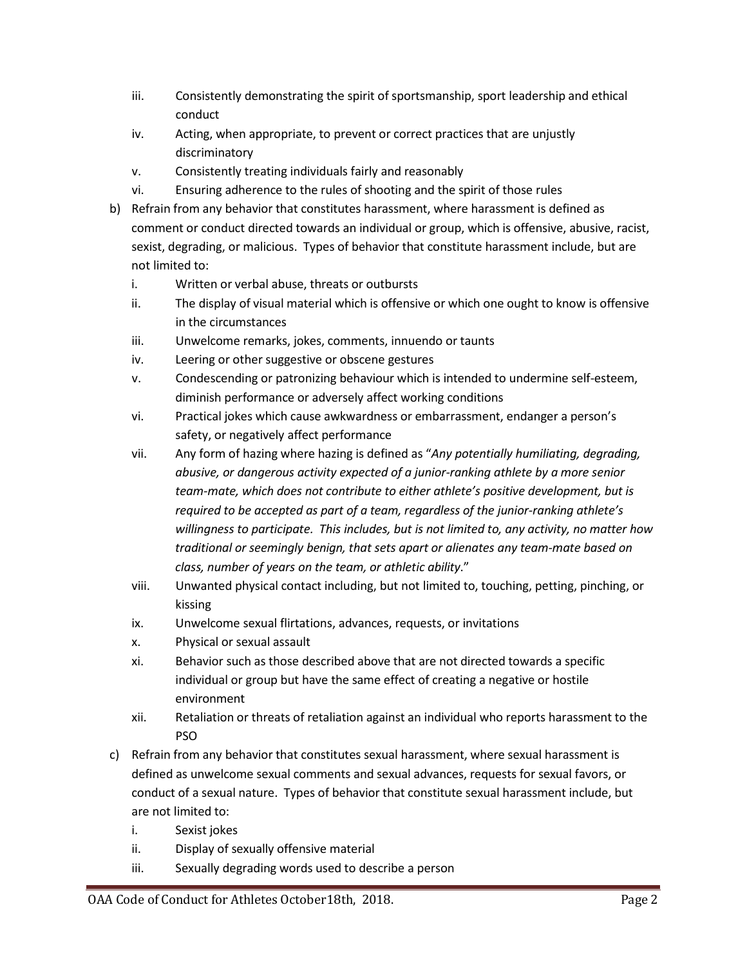- iii. Consistently demonstrating the spirit of sportsmanship, sport leadership and ethical conduct
- iv. Acting, when appropriate, to prevent or correct practices that are unjustly discriminatory
- v. Consistently treating individuals fairly and reasonably
- vi. Ensuring adherence to the rules of shooting and the spirit of those rules
- b) Refrain from any behavior that constitutes harassment, where harassment is defined as comment or conduct directed towards an individual or group, which is offensive, abusive, racist, sexist, degrading, or malicious. Types of behavior that constitute harassment include, but are not limited to:
	- i. Written or verbal abuse, threats or outbursts
	- ii. The display of visual material which is offensive or which one ought to know is offensive in the circumstances
	- iii. Unwelcome remarks, jokes, comments, innuendo or taunts
	- iv. Leering or other suggestive or obscene gestures
	- v. Condescending or patronizing behaviour which is intended to undermine self-esteem, diminish performance or adversely affect working conditions
	- vi. Practical jokes which cause awkwardness or embarrassment, endanger a person's safety, or negatively affect performance
	- vii. Any form of hazing where hazing is defined as "*Any potentially humiliating, degrading, abusive, or dangerous activity expected of a junior-ranking athlete by a more senior team-mate, which does not contribute to either athlete's positive development, but is required to be accepted as part of a team, regardless of the junior-ranking athlete's willingness to participate. This includes, but is not limited to, any activity, no matter how traditional or seemingly benign, that sets apart or alienates any team-mate based on class, number of years on the team, or athletic ability*."
	- viii. Unwanted physical contact including, but not limited to, touching, petting, pinching, or kissing
	- ix. Unwelcome sexual flirtations, advances, requests, or invitations
	- x. Physical or sexual assault
	- xi. Behavior such as those described above that are not directed towards a specific individual or group but have the same effect of creating a negative or hostile environment
	- xii. Retaliation or threats of retaliation against an individual who reports harassment to the PSO
- c) Refrain from any behavior that constitutes sexual harassment, where sexual harassment is defined as unwelcome sexual comments and sexual advances, requests for sexual favors, or conduct of a sexual nature. Types of behavior that constitute sexual harassment include, but are not limited to:
	- i. Sexist jokes
	- ii. Display of sexually offensive material
	- iii. Sexually degrading words used to describe a person